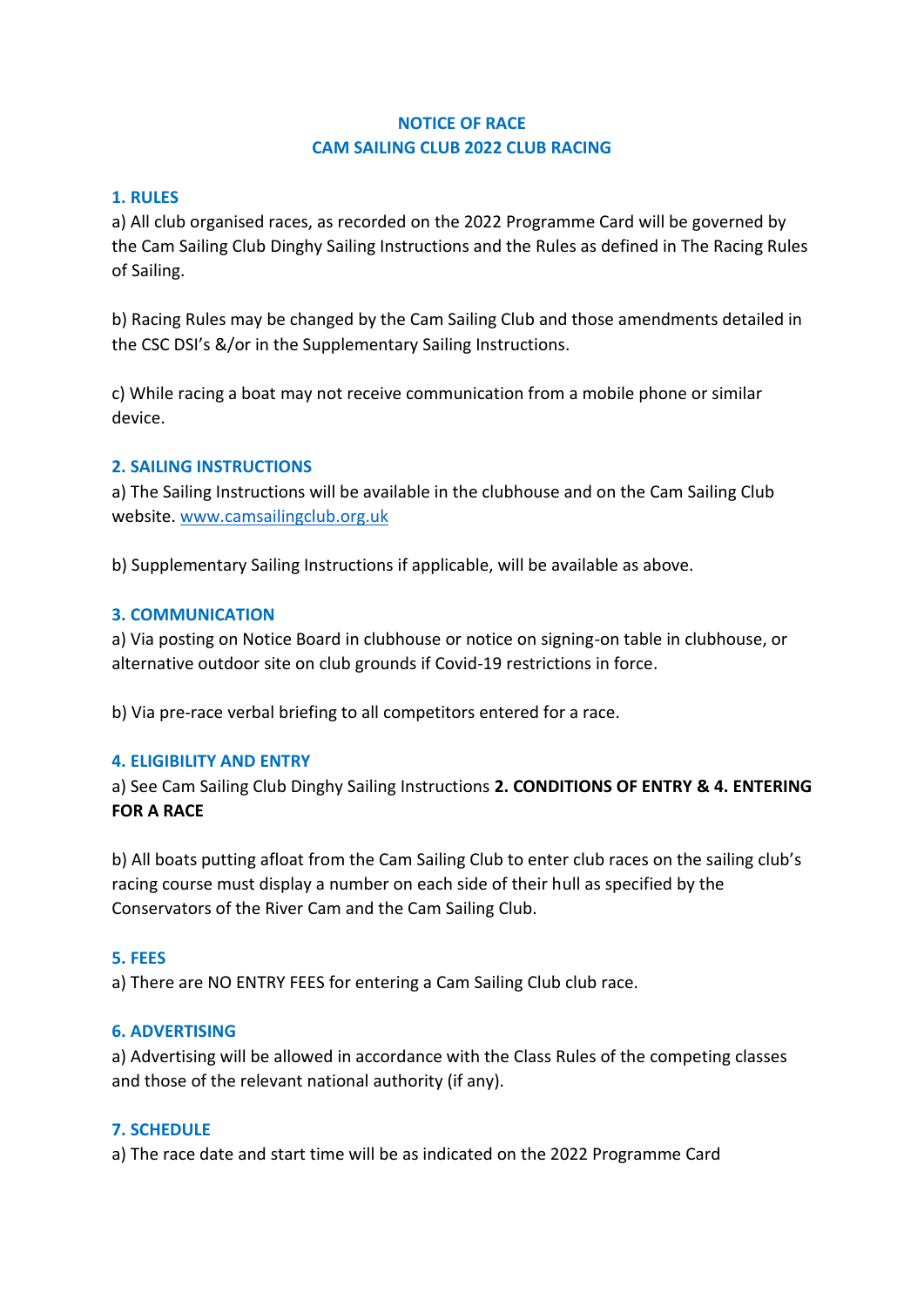## **NOTICE OF RACE CAM SAILING CLUB 2022 CLUB RACING**

## **1. RULES**

a) All club organised races, as recorded on the 2022 Programme Card will be governed by the Cam Sailing Club Dinghy Sailing Instructions and the Rules as defined in The Racing Rules of Sailing.

b) Racing Rules may be changed by the Cam Sailing Club and those amendments detailed in the CSC DSI's &/or in the Supplementary Sailing Instructions.

c) While racing a boat may not receive communication from a mobile phone or similar device.

## **2. SAILING INSTRUCTIONS**

a) The Sailing Instructions will be available in the clubhouse and on the Cam Sailing Club website. [www.camsailingclub.org.uk](http://www.camsailingclub.org.uk/)

b) Supplementary Sailing Instructions if applicable, will be available as above.

## **3. COMMUNICATION**

a) Via posting on Notice Board in clubhouse or notice on signing-on table in clubhouse, or alternative outdoor site on club grounds if Covid-19 restrictions in force.

b) Via pre-race verbal briefing to all competitors entered for a race.

#### **4. ELIGIBILITY AND ENTRY**

a) See Cam Sailing Club Dinghy Sailing Instructions **2. CONDITIONS OF ENTRY & 4. ENTERING FOR A RACE**

b) All boats putting afloat from the Cam Sailing Club to enter club races on the sailing club's racing course must display a number on each side of their hull as specified by the Conservators of the River Cam and the Cam Sailing Club.

#### **5. FEES**

a) There are NO ENTRY FEES for entering a Cam Sailing Club club race.

#### **6. ADVERTISING**

a) Advertising will be allowed in accordance with the Class Rules of the competing classes and those of the relevant national authority (if any).

#### **7. SCHEDULE**

a) The race date and start time will be as indicated on the 2022 Programme Card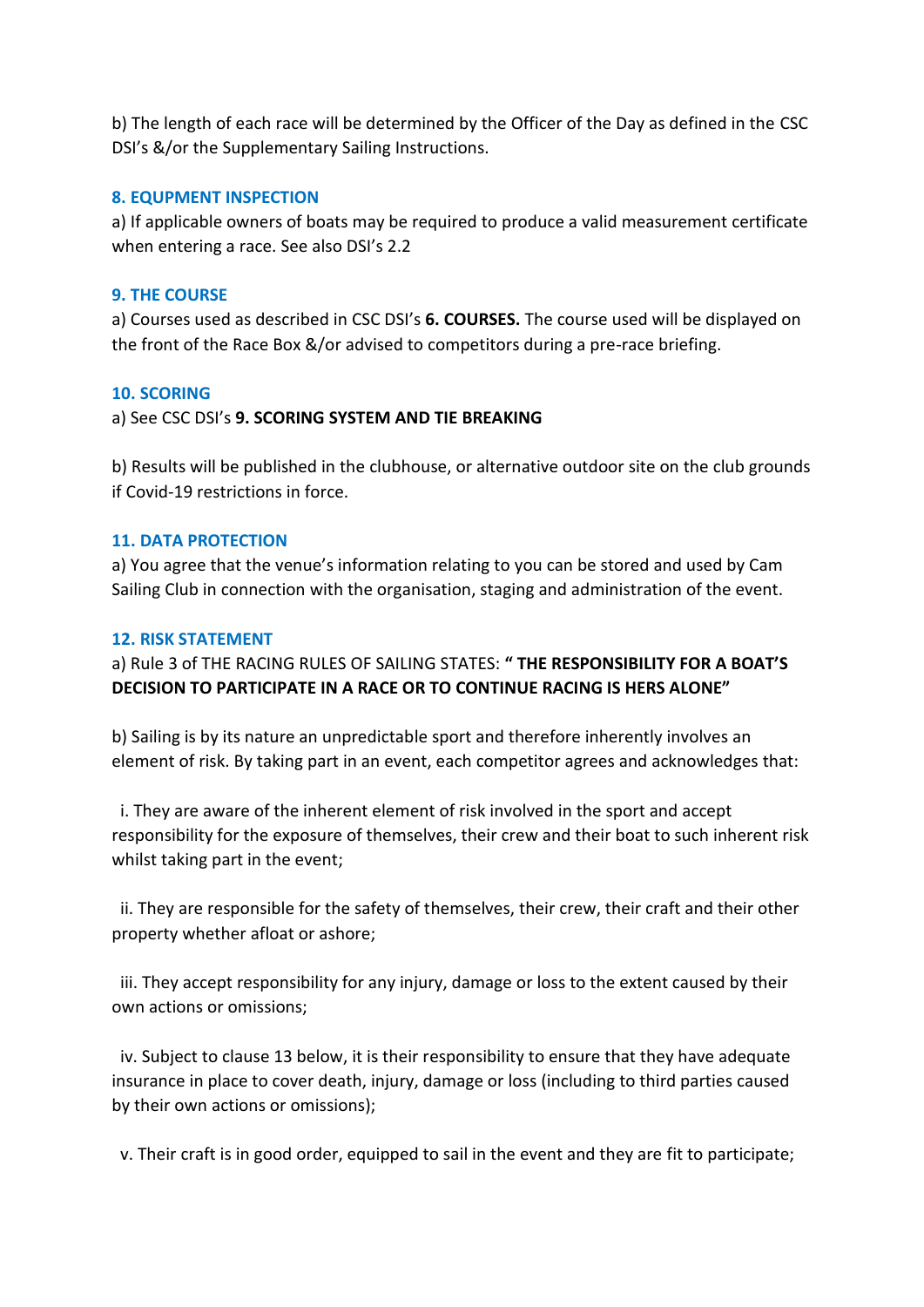b) The length of each race will be determined by the Officer of the Day as defined in the CSC DSI's &/or the Supplementary Sailing Instructions.

#### **8. EQUPMENT INSPECTION**

a) If applicable owners of boats may be required to produce a valid measurement certificate when entering a race. See also DSI's 2.2

## **9. THE COURSE**

a) Courses used as described in CSC DSI's **6. COURSES.** The course used will be displayed on the front of the Race Box &/or advised to competitors during a pre-race briefing.

## **10. SCORING**

## a) See CSC DSI's **9. SCORING SYSTEM AND TIE BREAKING**

b) Results will be published in the clubhouse, or alternative outdoor site on the club grounds if Covid-19 restrictions in force.

#### **11. DATA PROTECTION**

a) You agree that the venue's information relating to you can be stored and used by Cam Sailing Club in connection with the organisation, staging and administration of the event.

## **12. RISK STATEMENT**

a) Rule 3 of THE RACING RULES OF SAILING STATES: **" THE RESPONSIBILITY FOR A BOAT'S DECISION TO PARTICIPATE IN A RACE OR TO CONTINUE RACING IS HERS ALONE"**

b) Sailing is by its nature an unpredictable sport and therefore inherently involves an element of risk. By taking part in an event, each competitor agrees and acknowledges that:

 i. They are aware of the inherent element of risk involved in the sport and accept responsibility for the exposure of themselves, their crew and their boat to such inherent risk whilst taking part in the event;

 ii. They are responsible for the safety of themselves, their crew, their craft and their other property whether afloat or ashore;

 iii. They accept responsibility for any injury, damage or loss to the extent caused by their own actions or omissions;

 iv. Subject to clause 13 below, it is their responsibility to ensure that they have adequate insurance in place to cover death, injury, damage or loss (including to third parties caused by their own actions or omissions);

v. Their craft is in good order, equipped to sail in the event and they are fit to participate;